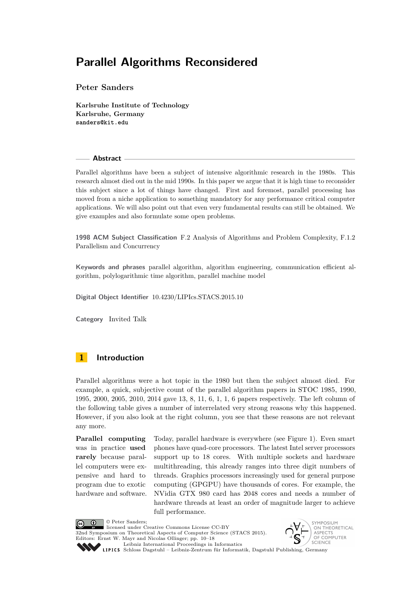**Peter Sanders**

**Karlsruhe Institute of Technology Karlsruhe, Germany sanders@kit.edu**

### **Abstract**

Parallel algorithms have been a subject of intensive algorithmic research in the 1980s. This research almost died out in the mid 1990s. In this paper we argue that it is high time to reconsider this subject since a lot of things have changed. First and foremost, parallel processing has moved from a niche application to something mandatory for any performance critical computer applications. We will also point out that even very fundamental results can still be obtained. We give examples and also formulate some open problems.

**1998 ACM Subject Classification** F.2 Analysis of Algorithms and Problem Complexity, F.1.2 Parallelism and Concurrency

**Keywords and phrases** parallel algorithm, algorithm engineering, communication efficient algorithm, polylogarithmic time algorithm, parallel machine model

**Digital Object Identifier** [10.4230/LIPIcs.STACS.2015.10](http://dx.doi.org/10.4230/LIPIcs.STACS.2015.10)

**Category** Invited Talk

### **1 Introduction**

Parallel algorithms were a hot topic in the 1980 but then the subject almost died. For example, a quick, subjective count of the parallel algorithm papers in STOC 1985, 1990, 1995, 2000, 2005, 2010, 2014 gave 13, 8, 11, 6, 1, 1, 6 papers respectively. The left column of the following table gives a number of interrelated very strong reasons why this happened. However, if you also look at the right column, you see that these reasons are not relevant any more.

**Parallel computing** was in practice **used rarely** because parallel computers were expensive and hard to program due to exotic hardware and software. Today, parallel hardware is everywhere (see Figure [1\)](#page-2-0). Even smart phones have quad-core processors. The latest Intel server processors support up to 18 cores. With multiple sockets and hardware multithreading, this already ranges into three digit numbers of threads. Graphics processors increasingly used for general purpose computing (GPGPU) have thousands of cores. For example, the NVidia GTX 980 card has 2048 cores and needs a number of hardware threads at least an order of magnitude larger to achieve full performance.

© Peter Sanders;  $\boxed{6}$   $\boxed{0}$ licensed under Creative Commons License CC-BY 32nd Symposium on Theoretical Aspects of Computer Science (STACS 2015). Editors: Ernst W. Mayr and Nicolas Ollinger; pp. 10[–18](#page-8-0) [Leibniz International Proceedings in Informatics](http://www.dagstuhl.de/lipics/)



[Schloss Dagstuhl – Leibniz-Zentrum für Informatik, Dagstuhl Publishing, Germany](http://www.dagstuhl.de)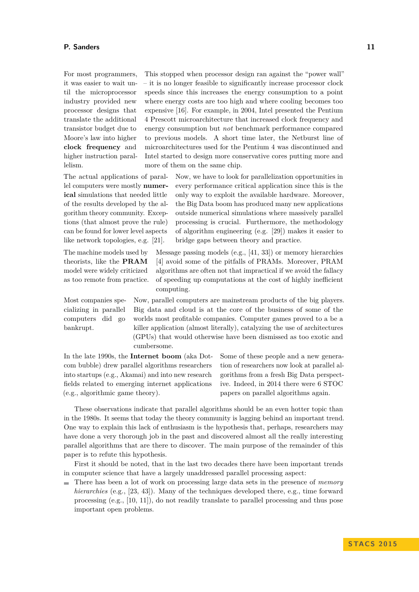For most programmers, it was easier to wait until the microprocessor industry provided new processor designs that translate the additional transistor budget due to Moore's law into higher **clock frequency** and higher instruction parallelism.

The actual applications of parallel computers were mostly **numerical** simulations that needed little of the results developed by the algorithm theory community. Exceptions (that almost prove the rule) can be found for lower level aspects like network topologies, e.g. [\[21\]](#page-7-0).

The machine models used by theorists, like the **PRAM** model were widely criticized as too remote from practice.

Most companies specializing in parallel computers did go bankrupt.

This stopped when processor design ran against the "power wall" – it is no longer feasible to significantly increase processor clock speeds since this increases the energy consumption to a point where energy costs are too high and where cooling becomes too expensive [\[16\]](#page-6-0). For example, in 2004, Intel presented the Pentium 4 Prescott microarchitecture that increased clock frequency and energy consumption but *not* benchmark performance compared to previous models. A short time later, the Netburst line of microarchitectures used for the Pentium 4 was discontinued and Intel started to design more conservative cores putting more and more of them on the same chip.

> Now, we have to look for parallelization opportunities in every performance critical application since this is the only way to exploit the available hardware. Moreover, the Big Data boom has produced many new applications outside numerical simulations where massively parallel processing is crucial. Furthermore, the methodology of algorithm engineering (e.g. [\[29\]](#page-7-1)) makes it easier to bridge gaps between theory and practice.

Message passing models (e.g., [\[41,](#page-8-1) [33\]](#page-7-2)) or memory hierarchies [\[4\]](#page-6-1) avoid some of the pitfalls of PRAMs. Moreover, PRAM algorithms are often not that impractical if we avoid the fallacy of speeding up computations at the cost of highly inefficient computing.

Now, parallel computers are mainstream products of the big players. Big data and cloud is at the core of the business of some of the worlds most profitable companies. Computer games proved to a be a killer application (almost literally), catalyzing the use of architectures (GPUs) that would otherwise have been dismissed as too exotic and cumbersome.

In the late 1990s, the **Internet boom** (aka Dotcom bubble) drew parallel algorithms researchers into startups (e.g., Akamai) and into new research fields related to emerging internet applications (e.g., algorithmic game theory).

Some of these people and a new generation of researchers now look at parallel algorithms from a fresh Big Data perspective. Indeed, in 2014 there were 6 STOC papers on parallel algorithms again.

These observations indicate that parallel algorithms should be an even hotter topic than in the 1980s. It seems that today the theory community is lagging behind an important trend. One way to explain this lack of enthusiasm is the hypothesis that, perhaps, researchers may have done a very thorough job in the past and discovered almost all the really interesting parallel algorithms that are there to discover. The main purpose of the remainder of this paper is to refute this hypothesis.

First it should be noted, that in the last two decades there have been important trends in computer science that have a largely unaddressed parallel processing aspect:

There has been a lot of work on processing large data sets in the presence of *memory hierarchies* (e.g., [\[23,](#page-7-3) [43\]](#page-8-2)). Many of the techniques developed there, e.g., time forward processing (e.g., [\[10,](#page-6-2) [11\]](#page-6-3)), do not readily translate to parallel processing and thus pose important open problems.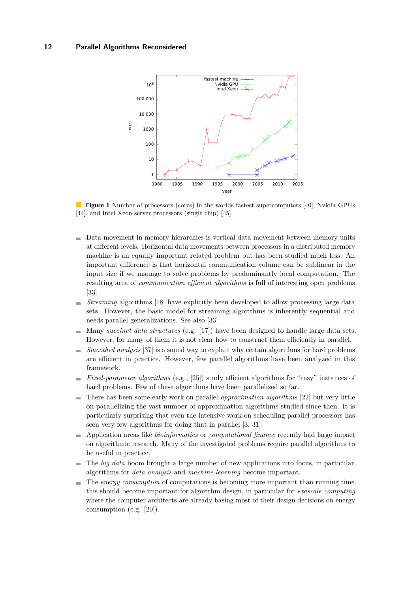<span id="page-2-0"></span>

 $\mathcal{L}^{\mathcal{L}}$ **Figure 1** Number of processors (cores) in the worlds fastest supercomputers [\[40\]](#page-8-3), Nvidia GPUs [\[44\]](#page-8-4), and Intel Xeon server processors (single chip) [\[45\]](#page-8-5).

- Data movement in memory hierarchies is vertical data movement between memory units  $\sim$ at different levels. Horizontal data movements between processors in a distributed memory machine is an equally important related problem but has been studied much less. An important difference is that horizontal communication volume can be sublinear in the input size if we manage to solve problems by predominantly local computation. The resulting area of *communication efficient algorithms* is full of interesting open problems [\[33\]](#page-7-2).
- *Streaming* algorithms [\[18\]](#page-7-4) have explicitly been developed to allow processing large data  $\blacksquare$ sets. However, the basic model for streaming algorithms is inherently sequential and needs parallel generalizations. See also [\[33\]](#page-7-2).
- Many *succinct data structures* (e.g. [\[17\]](#page-6-4)) have been designed to handle large data sets. However, for many of them it is not clear how to construct them efficiently in parallel.
- *Smoothed analysis* [\[37\]](#page-7-5) is a sound way to explain why certain algorithms for hard problems  $\blacksquare$ are efficient in practice. However, few parallel algorithms have been analyzed in this framework.
- *Fixed-parameter algorithms* (e.g., [\[25\]](#page-7-6)) study efficient algorithms for "easy" instances of ÷, hard problems. Few of these algorithms have been parallelized so far.
- There has been some early work on parallel *approximation algorithms* [\[22\]](#page-7-7) but very little  $\sim$ on parallelizing the vast number of approximation algorithms studied since then. It is particularly surprising that even the intensive work on scheduling parallel processors has seen very few algorithms for doing that in parallel [\[3,](#page-6-5) [31\]](#page-7-8).
- Application areas like *bioinformatics* or *computational finance* recently had large impact  $\blacksquare$ on algorithmic research. Many of the investigated problems require parallel algorithms to be useful in practice.
- The *big data* boom brought a large number of new applications into focus, in particular,  $\blacksquare$ algorithms for *data analysis* and *machine learning* become important.
- The *energy consumption* of computations is becoming more important than running time.  $\sim$ this should become important for algorithm design, in particular for *exascale computing* where the computer architects are already basing most of their design decisions on energy consumption (e.g. [\[20\]](#page-7-9)).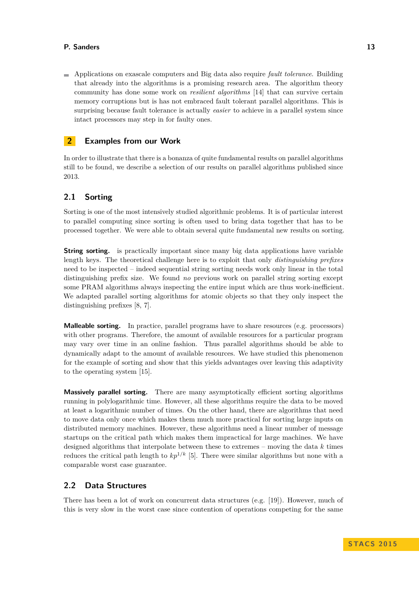### **P. Sanders 13**

Applications on exascale computers and Big data also require *fault tolerance*. Building that already into the algorithms is a promising research area. The algorithm theory community has done some work on *resilient algorithms* [\[14\]](#page-6-6) that can survive certain memory corruptions but is has not embraced fault tolerant parallel algorithms. This is surprising because fault tolerance is actually *easier* to achieve in a parallel system since intact processors may step in for faulty ones.

### **2 Examples from our Work**

In order to illustrate that there is a bonanza of quite fundamental results on parallel algorithms still to be found, we describe a selection of our results on parallel algorithms published since 2013.

### **2.1 Sorting**

Sorting is one of the most intensively studied algorithmic problems. It is of particular interest to parallel computing since sorting is often used to bring data together that has to be processed together. We were able to obtain several quite fundamental new results on sorting.

**String sorting.** is practically important since many big data applications have variable length keys. The theoretical challenge here is to exploit that only *distinguishing prefixes* need to be inspected – indeed sequential string sorting needs work only linear in the total distinguishing prefix size. We found *no* previous work on parallel string sorting except some PRAM algorithms always inspecting the entire input which are thus work-inefficient. We adapted parallel sorting algorithms for atomic objects so that they only inspect the distinguishing prefixes [\[8,](#page-6-7) [7\]](#page-6-8).

**Malleable sorting.** In practice, parallel programs have to share resources (e.g. processors) with other programs. Therefore, the amount of available resources for a particular program may vary over time in an online fashion. Thus parallel algorithms should be able to dynamically adapt to the amount of available resources. We have studied this phenomenon for the example of sorting and show that this yields advantages over leaving this adaptivity to the operating system [\[15\]](#page-6-9).

**Massively parallel sorting.** There are many asymptotically efficient sorting algorithms running in polylogarithmic time. However, all these algorithms require the data to be moved at least a logarithmic number of times. On the other hand, there are algorithms that need to move data only once which makes them much more practical for sorting large inputs on distributed memory machines. However, these algorithms need a linear number of message startups on the critical path which makes them impractical for large machines. We have designed algorithms that interpolate between these to extremes – moving the data *k* times reduces the critical path length to  $kp^{1/k}$  [\[5\]](#page-6-10). There were similar algorithms but none with a comparable worst case guarantee.

### **2.2 Data Structures**

There has been a lot of work on concurrent data structures (e.g. [\[19\]](#page-7-10)). However, much of this is very slow in the worst case since contention of operations competing for the same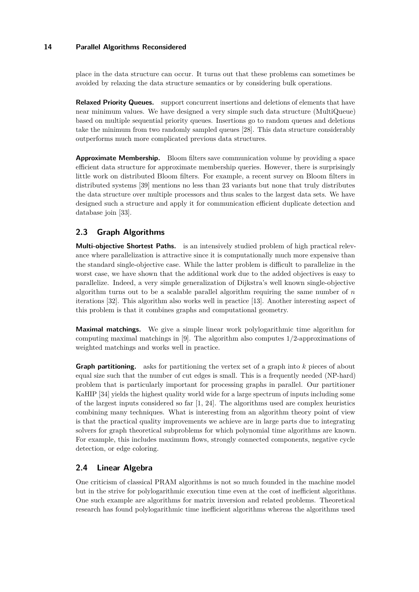place in the data structure can occur. It turns out that these problems can sometimes be avoided by relaxing the data structure semantics or by considering bulk operations.

**Relaxed Priority Queues.** support concurrent insertions and deletions of elements that have near minimum values. We have designed a very simple such data structure (MultiQueue) based on multiple sequential priority queues. Insertions go to random queues and deletions take the minimum from two randomly sampled queues [\[28\]](#page-7-11). This data structure considerably outperforms much more complicated previous data structures.

**Approximate Membership.** Bloom filters save communication volume by providing a space efficient data structure for approximate membership queries. However, there is surprisingly little work on distributed Bloom filters. For example, a recent survey on Bloom filters in distributed systems [\[39\]](#page-7-12) mentions no less than 23 variants but none that truly distributes the data structure over multiple processors and thus scales to the largest data sets. We have designed such a structure and apply it for communication efficient duplicate detection and database join [\[33\]](#page-7-2).

## **2.3 Graph Algorithms**

**Multi-objective Shortest Paths.** is an intensively studied problem of high practical relevance where parallelization is attractive since it is computationally much more expensive than the standard single-objective case. While the latter problem is difficult to parallelize in the worst case, we have shown that the additional work due to the added objectives is easy to parallelize. Indeed, a very simple generalization of Dijkstra's well known single-objective algorithm turns out to be a scalable parallel algorithm requiring the same number of *n* iterations [\[32\]](#page-7-13). This algorithm also works well in practice [\[13\]](#page-6-11). Another interesting aspect of this problem is that it combines graphs and computational geometry.

**Maximal matchings.** We give a simple linear work polylogarithmic time algorithm for computing maximal matchings in [\[9\]](#page-6-12). The algorithm also computes 1*/*2-approximations of weighted matchings and works well in practice.

**Graph partitioning.** asks for partitioning the vertex set of a graph into *k* pieces of about equal size such that the number of cut edges is small. This is a frequently needed (NP-hard) problem that is particularly important for processing graphs in parallel. Our partitioner KaHIP [\[34\]](#page-7-14) yields the highest quality world wide for a large spectrum of inputs including some of the largest inputs considered so far [\[1,](#page-6-13) [24\]](#page-7-15). The algorithms used are complex heuristics combining many techniques. What is interesting from an algorithm theory point of view is that the practical quality improvements we achieve are in large parts due to integrating solvers for graph theoretical subproblems for which polynomial time algorithms are known. For example, this includes maximum flows, strongly connected components, negative cycle detection, or edge coloring.

# **2.4 Linear Algebra**

One criticism of classical PRAM algorithms is not so much founded in the machine model but in the strive for polylogarithmic execution time even at the cost of inefficient algorithms. One such example are algorithms for matrix inversion and related problems. Theoretical research has found polylogarithmic time inefficient algorithms whereas the algorithms used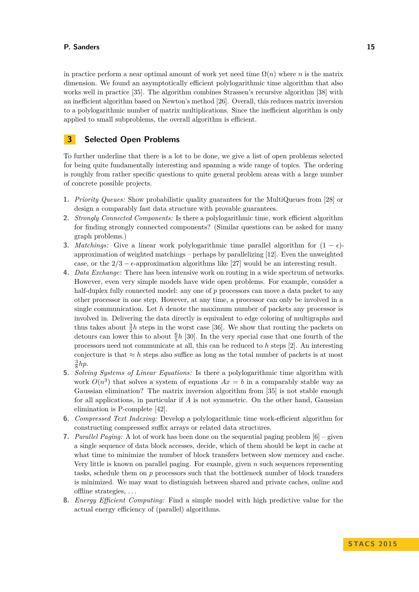in practice perform a near optimal amount of work yet need time  $\Omega(n)$  where *n* is the matrix dimension. We found an asymptotically efficient polylogarithmic time algorithm that also works well in practice [\[35\]](#page-7-16). The algorithm combines Strassen's recursive algorithm [\[38\]](#page-7-17) with an inefficient algorithm based on Newton's method [\[26\]](#page-7-18). Overall, this reduces matrix inversion to a polylogarithmic number of matrix multiplications. Since the inefficient algorithm is only applied to small subproblems, the overall algorithm is efficient.

### **3 Selected Open Problems**

To further underline that there is a lot to be done, we give a list of open problems selected for being quite fundamentally interesting and spanning a wide range of topics. The ordering is roughly from rather specific questions to quite general problem areas with a large number of concrete possible projects.

- **1.** *Priority Queues:* Show probabilistic quality guarantees for the MultiQueues from [\[28\]](#page-7-11) or design a comparably fast data structure with provable guarantees.
- **2.** *Strongly Connected Components:* Is there a polylogarithmic time, work efficient algorithm for finding strongly connected components? (Similar questions can be asked for many graph problems.)
- **3.** *Matchings:* Give a linear work polylogarithmic time parallel algorithm for  $(1 \epsilon)$ approximation of weighted matchings – perhaps by parallelizing [\[12\]](#page-6-14). Even the unweighted case, or the  $2/3 - \epsilon$ -approximation algorithms like [\[27\]](#page-7-19) would be an interesting result.
- **4.** *Data Exchange:* There has been intensive work on routing in a wide spectrum of networks. However, even very simple models have wide open problems. For example, consider a half-duplex fully connected model: any one of p processors can move a data packet to any other processor in one step. However, at any time, a processor can only be involved in a single communication. Let *h* denote the maximum number of packets any processor is involved in. Delivering the data directly is equivalent to edge coloring of multigraphs and thus takes about  $\frac{3}{2}h$  steps in the worst case [\[36\]](#page-7-20). We show that routing the packets on detours can lower this to about  $\frac{6}{5}h$  [\[30\]](#page-7-21). In the very special case that one fourth of the processors need not communicate at all, this can be reduced to *h* steps [\[2\]](#page-6-15). An interesting conjecture is that  $\approx h$  steps also suffice as long as the total number of packets is at most  $\frac{3}{8}hp.$
- **5.** *Solving Systems of Linear Equations:* Is there a polylogarithmic time algorithm with work  $O(n^3)$  that solves a system of equations  $Ax = b$  in a comparably stable way as Gaussian elimination? The matrix inversion algorithm from [\[35\]](#page-7-16) is not stable enough for all applications, in particular if *A* is not symmetric. On the other hand, Gaussian elimination is P-complete [\[42\]](#page-8-6).
- **6.** *Compressed Text Indexing:* Develop a polylogarithmic time work-efficient algorithm for constructing compressed suffix arrays or related data structures.
- **7.** *Parallel Paging:* A lot of work has been done on the sequential paging problem [\[6\]](#page-6-16) given a single sequence of data block accesses, decide, which of them should be kept in cache at what time to minimize the number of block transfers between slow memory and cache. Very little is known on parallel paging. For example, given *n* such sequences representing tasks, schedule them on *p* processors such that the bottleneck number of block transfers is minimized. We may want to distinguish between shared and private caches, online and offline strategies, . . .
- **8.** *Energy Efficient Computing:* Find a simple model with high predictive value for the actual energy efficiency of (parallel) algorithms.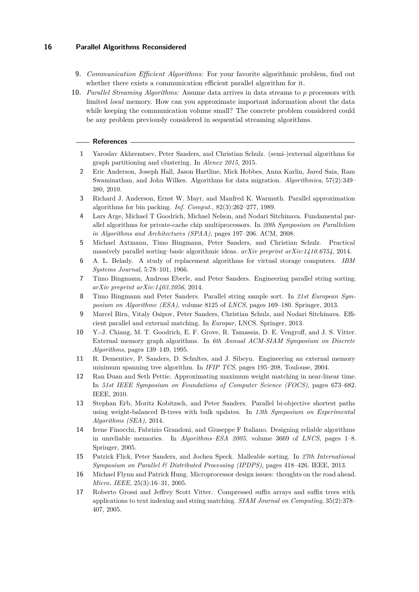- **9.** *Communication Efficient Algorithms:* For your favorite algorithmic problem, find out whether there exists a communication efficient parallel algorithm for it.
- **10.** *Parallel Streaming Algorithms:* Assume data arrives in data streams to *p* processors with limited *local* memory. How can you approximate important information about the data while keeping the communication volume small? The concrete problem considered could be any problem previously considered in sequential streaming algorithms.

#### **References**

- <span id="page-6-13"></span>**1** Yaroslav Akhremtsev, Peter Sanders, and Christian Schulz. (semi-)external algorithms for graph partitioning and clustering. In *Alenex 2015*, 2015.
- <span id="page-6-15"></span>**2** Eric Anderson, Joseph Hall, Jason Hartline, Mick Hobbes, Anna Karlin, Jared Saia, Ram Swaminathan, and John Wilkes. Algorithms for data migration. *Algorithmica*, 57(2):349– 380, 2010.
- <span id="page-6-5"></span>**3** Richard J. Anderson, Ernst W. Mayr, and Manfred K. Warmuth. Parallel approximation algorithms for bin packing. *Inf. Comput.*, 82(3):262–277, 1989.
- <span id="page-6-1"></span>**4** Lars Arge, Michael T Goodrich, Michael Nelson, and Nodari Sitchinava. Fundamental parallel algorithms for private-cache chip multiprocessors. In *20th Symposium on Parallelism in Algorithms and Architectures (SPAA)*, pages 197–206. ACM, 2008.
- <span id="page-6-10"></span>**5** Michael Axtmann, Timo Bingmann, Peter Sanders, and Christian Schulz. Practical massively parallel sorting–basic algorithmic ideas. *arXiv preprint arXiv:1410.6754*, 2014.
- <span id="page-6-16"></span>**6** A. L. Belady. A study of replacement algorithms for virtual storage computers. *IBM Systems Journal*, 5:78–101, 1966.
- <span id="page-6-8"></span>**7** Timo Bingmann, Andreas Eberle, and Peter Sanders. Engineering parallel string sorting. *arXiv preprint arXiv:1403.2056*, 2014.
- <span id="page-6-7"></span>**8** Timo Bingmann and Peter Sanders. Parallel string sample sort. In *21st European Symposium on Algorithme (ESA)*, volume 8125 of *LNCS*, pages 169–180. Springer, 2013.
- <span id="page-6-12"></span>**9** Marcel Birn, Vitaly Osipov, Peter Sanders, Christian Schulz, and Nodari Sitchinava. Efficient parallel and external matching. In *Europar*, LNCS. Springer, 2013.
- <span id="page-6-2"></span>**10** Y.-J. Chiang, M. T. Goodrich, E. F. Grove, R. Tamassia, D. E. Vengroff, and J. S. Vitter. External memory graph algorithms. In *6th Annual ACM-SIAM Symposium on Discrete Algorithms*, pages 139–149, 1995.
- <span id="page-6-3"></span>**11** R. Dementiev, P. Sanders, D. Schultes, and J. Sibeyn. Engineering an external memory minimum spanning tree algorithm. In *IFIP TCS*, pages 195–208, Toulouse, 2004.
- <span id="page-6-14"></span>**12** Ran Duan and Seth Pettie. Approximating maximum weight matching in near-linear time. In *51st IEEE Symposium on Foundations of Computer Science (FOCS)*, pages 673–682. IEEE, 2010.
- <span id="page-6-11"></span>**13** Stephan Erb, Moritz Kobitzsch, and Peter Sanders. Parallel bi-objective shortest paths using weight-balanced B-trees with bulk updates. In *13th Symposium on Experimental Algorithms (SEA)*, 2014.
- <span id="page-6-6"></span>**14** Irene Finocchi, Fabrizio Grandoni, and Giuseppe F Italiano. Designing reliable algorithms in unreliable memories. In *Algorithms–ESA 2005*, volume 3669 of *LNCS*, pages 1–8. Springer, 2005.
- <span id="page-6-9"></span>**15** Patrick Flick, Peter Sanders, and Jochen Speck. Malleable sorting. In *27th International Symposium on Parallel & Distributed Processing (IPDPS)*, pages 418–426. IEEE, 2013.
- <span id="page-6-0"></span>**16** Michael Flynn and Patrick Hung. Microprocessor design issues: thoughts on the road ahead. *Micro, IEEE*, 25(3):16–31, 2005.
- <span id="page-6-4"></span>**17** Roberto Grossi and Jeffrey Scott Vitter. Compressed suffix arrays and suffix trees with applications to text indexing and string matching. *SIAM Journal on Computing*, 35(2):378– 407, 2005.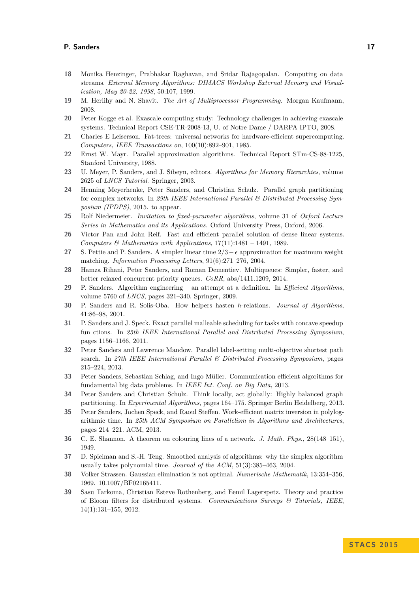### **P. Sanders 17**

- <span id="page-7-4"></span>**18** Monika Henzinger, Prabhakar Raghavan, and Sridar Rajagopalan. Computing on data streams. *External Memory Algorithms: DIMACS Workshop External Memory and Visualization, May 20-22, 1998*, 50:107, 1999.
- <span id="page-7-10"></span>**19** M. Herlihy and N. Shavit. *The Art of Multiprocessor Programming*. Morgan Kaufmann, 2008.
- <span id="page-7-9"></span>**20** Peter Kogge et al. Exascale computing study: Technology challenges in achieving exascale systems. Technical Report CSE-TR-2008-13, U. of Notre Dame / DARPA IPTO, 2008.
- <span id="page-7-0"></span>**21** Charles E Leiserson. Fat-trees: universal networks for hardware-efficient supercomputing. *Computers, IEEE Transactions on*, 100(10):892–901, 1985.
- <span id="page-7-7"></span>**22** Ernst W. Mayr. Parallel approximation algorithms. Technical Report STm-CS-88-1225, Stanford University, 1988.
- <span id="page-7-3"></span>**23** U. Meyer, P. Sanders, and J. Sibeyn, editors. *Algorithms for Memory Hierarchies*, volume 2625 of *LNCS Tutorial*. Springer, 2003.
- <span id="page-7-15"></span>**24** Henning Meyerhenke, Peter Sanders, and Christian Schulz. Parallel graph partitioning for complex networks. In *29th IEEE International Parallel & Distributed Processing Symposium (IPDPS)*, 2015. to appear.
- <span id="page-7-6"></span>**25** Rolf Niedermeier. *Invitation to fixed-parameter algorithms*, volume 31 of *Oxford Lecture Series in Mathematics and its Applications*. Oxford University Press, Oxford, 2006.
- <span id="page-7-18"></span>**26** Victor Pan and John Reif. Fast and efficient parallel solution of dense linear systems. *Computers & Mathematics with Applications*, 17(11):1481 – 1491, 1989.
- <span id="page-7-19"></span>**27** S. Pettie and P. Sanders. A simpler linear time 2*/*3− approximation for maximum weight matching. *Information Processing Letters*, 91(6):271–276, 2004.
- <span id="page-7-11"></span>**28** Hamza Rihani, Peter Sanders, and Roman Dementiev. Multiqueues: Simpler, faster, and better relaxed concurrent priority queues. *CoRR*, abs/1411.1209, 2014.
- <span id="page-7-1"></span>**29** P. Sanders. Algorithm engineering – an attempt at a definition. In *Efficient Algorithms*, volume 5760 of *LNCS*, pages 321–340. Springer, 2009.
- <span id="page-7-21"></span>**30** P. Sanders and R. Solis-Oba. How helpers hasten *h*-relations. *Journal of Algorithms*, 41:86–98, 2001.
- <span id="page-7-8"></span>**31** P. Sanders and J. Speck. Exact parallel malleable scheduling for tasks with concave speedup fun ctions. In *25th IEEE International Parallel and Distributed Processing Symposium*, pages 1156–1166, 2011.
- <span id="page-7-13"></span>**32** Peter Sanders and Lawrence Mandow. Parallel label-setting multi-objective shortest path search. In *27th IEEE International Parallel & Distributed Processing Symposium*, pages 215–224, 2013.
- <span id="page-7-2"></span>**33** Peter Sanders, Sebastian Schlag, and Ingo Müller. Communication efficient algorithms for fundamental big data problems. In *IEEE Int. Conf. on Big Data*, 2013.
- <span id="page-7-14"></span>**34** Peter Sanders and Christian Schulz. Think locally, act globally: Highly balanced graph partitioning. In *Experimental Algorithms*, pages 164–175. Springer Berlin Heidelberg, 2013.
- <span id="page-7-16"></span>**35** Peter Sanders, Jochen Speck, and Raoul Steffen. Work-efficient matrix inversion in polylogarithmic time. In *25th ACM Symposium on Parallelism in Algorithms and Architectures*, pages 214–221. ACM, 2013.
- <span id="page-7-20"></span>**36** C. E. Shannon. A theorem on colouring lines of a network. *J. Math. Phys.*, 28(148–151), 1949.
- <span id="page-7-5"></span>**37** D. Spielman and S.-H. Teng. Smoothed analysis of algorithms: why the simplex algorithm usually takes polynomial time. *Journal of the ACM*, 51(3):385–463, 2004.
- <span id="page-7-17"></span>**38** Volker Strassen. Gaussian elimination is not optimal. *Numerische Mathematik*, 13:354–356, 1969. 10.1007/BF02165411.
- <span id="page-7-12"></span>**39** Sasu Tarkoma, Christian Esteve Rothenberg, and Eemil Lagerspetz. Theory and practice of Bloom filters for distributed systems. *Communications Surveys & Tutorials, IEEE*, 14(1):131–155, 2012.